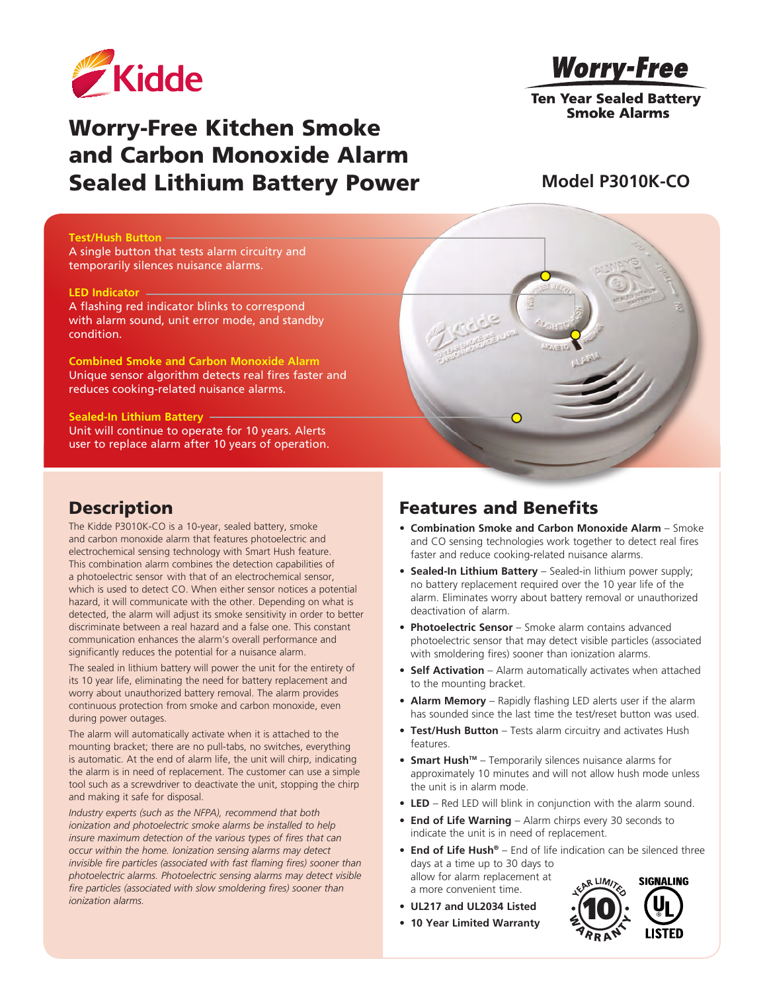

# Worry-Free Kitchen Smoke and Carbon Monoxide Alarm Sealed Lithium Battery Power

**Worry-Free** 

**Ten Year Sealed Battery Smoke Alarms** 

### **Model P3010K-CO**

#### **Test/Hush Button**

A single button that tests alarm circuitry and temporarily silences nuisance alarms.

#### **LED Indicator**

A flashing red indicator blinks to correspond with alarm sound, unit error mode, and standby condition.

**Combined Smoke and Carbon Monoxide Alarm** Unique sensor algorithm detects real fires faster and reduces cooking-related nuisance alarms.

#### **Sealed-In Lithium Battery**

Unit will continue to operate for 10 years. Alerts user to replace alarm after 10 years of operation.

### **Description**

The Kidde P3010K-CO is a 10-year, sealed battery, smoke and carbon monoxide alarm that features photoelectric and electrochemical sensing technology with Smart Hush feature. This combination alarm combines the detection capabilities of a photoelectric sensor with that of an electrochemical sensor, which is used to detect CO. When either sensor notices a potential hazard, it will communicate with the other. Depending on what is detected, the alarm will adjust its smoke sensitivity in order to better discriminate between a real hazard and a false one. This constant communication enhances the alarm's overall performance and significantly reduces the potential for a nuisance alarm.

The sealed in lithium battery will power the unit for the entirety of its 10 year life, eliminating the need for battery replacement and worry about unauthorized battery removal. The alarm provides continuous protection from smoke and carbon monoxide, even during power outages.

The alarm will automatically activate when it is attached to the mounting bracket; there are no pull-tabs, no switches, everything is automatic. At the end of alarm life, the unit will chirp, indicating the alarm is in need of replacement. The customer can use a simple tool such as a screwdriver to deactivate the unit, stopping the chirp and making it safe for disposal.

*Industry experts (such as the NFPA), recommend that both ionization and photoelectric smoke alarms be installed to help insure maximum detection of the various types of fires that can occur within the home. Ionization sensing alarms may detect invisible fire particles (associated with fast flaming fires) sooner than photoelectric alarms. Photoelectric sensing alarms may detect visible fire particles (associated with slow smoldering fires) sooner than ionization alarms.*

### Features and Benefits

- **• Combination Smoke and Carbon Monoxide Alarm** Smoke and CO sensing technologies work together to detect real fires faster and reduce cooking-related nuisance alarms.
- **• Sealed-In Lithium Battery** Sealed-in lithium power supply; no battery replacement required over the 10 year life of the alarm. Eliminates worry about battery removal or unauthorized deactivation of alarm.
- **• Photoelectric Sensor** Smoke alarm contains advanced photoelectric sensor that may detect visible particles (associated with smoldering fires) sooner than ionization alarms.
- **• Self Activation** Alarm automatically activates when attached to the mounting bracket.
- **• Alarm Memory** Rapidly flashing LED alerts user if the alarm has sounded since the last time the test/reset button was used.
- **• Test/Hush Button** Tests alarm circuitry and activates Hush features.
- **Smart Hush<sup>™</sup>** Temporarily silences nuisance alarms for approximately 10 minutes and will not allow hush mode unless the unit is in alarm mode.
- **LED** Red LED will blink in conjunction with the alarm sound.
- **• End of Life Warning** Alarm chirps every 30 seconds to indicate the unit is in need of replacement.
- **• End of Life Hush®** End of life indication can be silenced three days at a time up to 30 days to allow for alarm replacement at R LIM<sub>/2</sub> **SIGNALING** a more convenient time.
- **• UL217 and UL2034 Listed**
- **10 Year Limited Warranty**